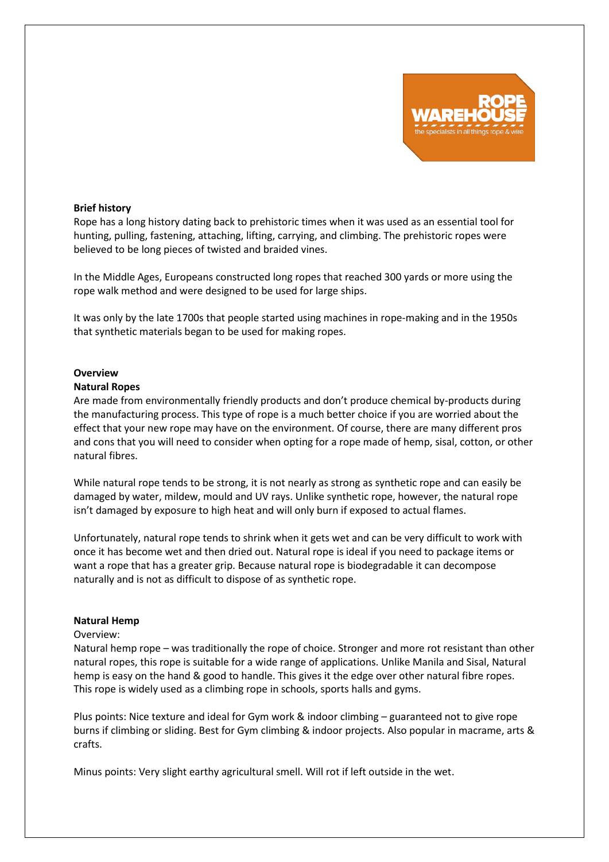

## **Brief history**

Rope has a long history dating back to prehistoric times when it was used as an essential tool for hunting, pulling, fastening, attaching, lifting, carrying, and climbing. The prehistoric ropes were believed to be long pieces of twisted and braided vines.

In the Middle Ages, Europeans constructed long ropes that reached 300 yards or more using the rope walk method and were designed to be used for large ships.

It was only by the late 1700s that people started using machines in rope-making and in the 1950s that synthetic materials began to be used for making ropes.

## **Overview**

## **Natural Ropes**

Are made from environmentally friendly products and don't produce chemical by-products during the manufacturing process. This type of rope is a much better choice if you are worried about the effect that your new rope may have on the environment. Of course, there are many different pros and cons that you will need to consider when opting for a rope made of hemp, sisal, cotton, or other natural fibres.

While natural rope tends to be strong, it is not nearly as strong as synthetic rope and can easily be damaged by water, mildew, mould and UV rays. Unlike synthetic rope, however, the natural rope isn't damaged by exposure to high heat and will only burn if exposed to actual flames.

Unfortunately, natural rope tends to shrink when it gets wet and can be very difficult to work with once it has become wet and then dried out. Natural rope is ideal if you need to package items or want a rope that has a greater grip. Because natural rope is biodegradable it can decompose naturally and is not as difficult to dispose of as synthetic rope.

## **Natural Hemp**

#### Overview:

Natural hemp rope – was traditionally the rope of choice. Stronger and more rot resistant than other natural ropes, this rope is suitable for a wide range of applications. Unlike Manila and Sisal, Natural hemp is easy on the hand & good to handle. This gives it the edge over other natural fibre ropes. This rope is widely used as a climbing rope in schools, sports halls and gyms.

Plus points: Nice texture and ideal for Gym work & indoor climbing – guaranteed not to give rope burns if climbing or sliding. Best for Gym climbing & indoor projects. Also popular in macrame, arts & crafts.

Minus points: Very slight earthy agricultural smell. Will rot if left outside in the wet.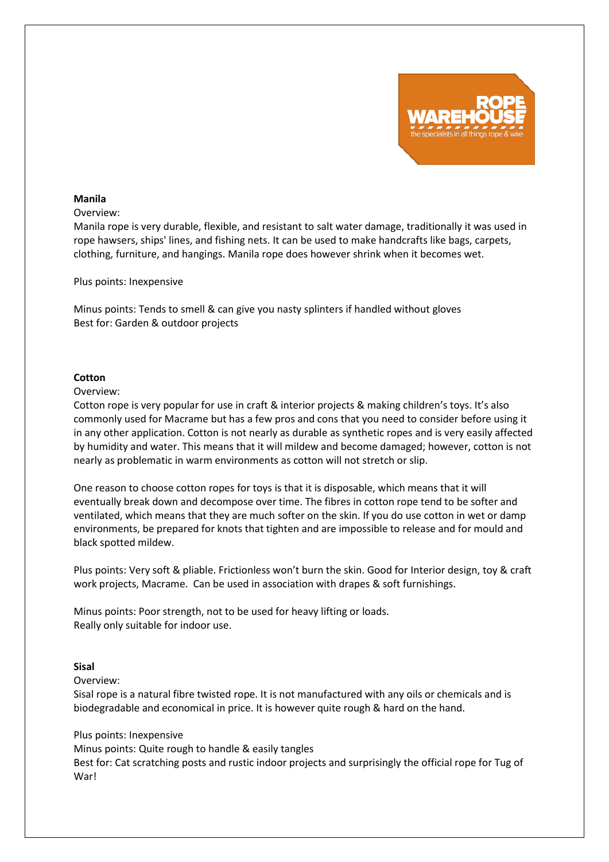

## **Manila**

## Overview:

Manila rope is very durable, flexible, and resistant to salt water damage, traditionally it was used in rope hawsers, ships' lines, and fishing nets. It can be used to make handcrafts like bags, carpets, clothing, furniture, and hangings. Manila rope does however shrink when it becomes wet.

#### Plus points: Inexpensive

Minus points: Tends to smell & can give you nasty splinters if handled without gloves Best for: Garden & outdoor projects

# **Cotton**

#### Overview:

Cotton rope is very popular for use in craft & interior projects & making children's toys. It's also commonly used for Macrame but has a few pros and cons that you need to consider before using it in any other application. Cotton is not nearly as durable as synthetic ropes and is very easily affected by humidity and water. This means that it will mildew and become damaged; however, cotton is not nearly as problematic in warm environments as cotton will not stretch or slip.

One reason to choose cotton ropes for toys is that it is disposable, which means that it will eventually break down and decompose over time. The fibres in cotton rope tend to be softer and ventilated, which means that they are much softer on the skin. If you do use cotton in wet or damp environments, be prepared for knots that tighten and are impossible to release and for mould and black spotted mildew.

Plus points: Very soft & pliable. Frictionless won't burn the skin. Good for Interior design, toy & craft work projects, Macrame. Can be used in association with drapes & soft furnishings.

Minus points: Poor strength, not to be used for heavy lifting or loads. Really only suitable for indoor use.

## **Sisal**

Overview:

Sisal rope is a natural fibre twisted rope. It is not manufactured with any oils or chemicals and is biodegradable and economical in price. It is however quite rough & hard on the hand.

## Plus points: Inexpensive

Minus points: Quite rough to handle & easily tangles

Best for: Cat scratching posts and rustic indoor projects and surprisingly the official rope for Tug of War!